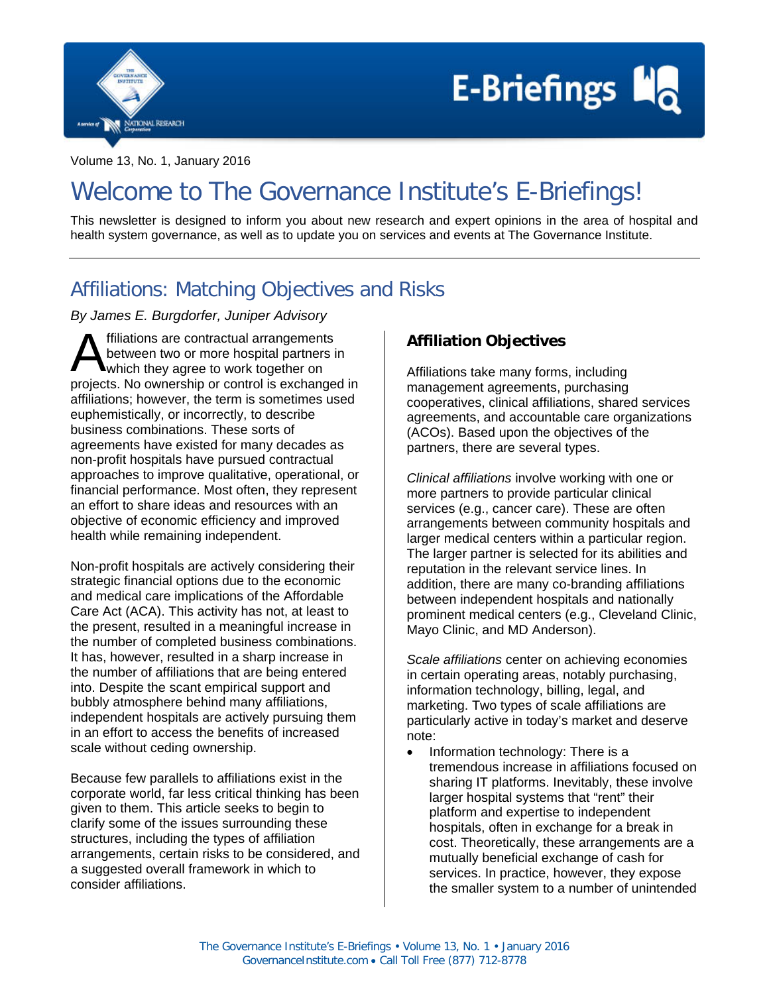



Volume 13, No. 1, January 2016

# Welcome to The Governance Institute's E-Briefings!

This newsletter is designed to inform you about new research and expert opinions in the area of hospital and health system governance, as well as to update you on services and events at The Governance Institute.

## Affiliations: Matching Objectives and Risks

*By James E. Burgdorfer, Juniper Advisory*

ffiliations are contractual arrangements between two or more hospital partners in which they agree to work together on **A** filiations are contractual arrangements<br>between two or more hospital partners in<br>projects. No ownership or control is exchanged in affiliations; however, the term is sometimes used euphemistically, or incorrectly, to describe business combinations. These sorts of agreements have existed for many decades as non-profit hospitals have pursued contractual approaches to improve qualitative, operational, or financial performance. Most often, they represent an effort to share ideas and resources with an objective of economic efficiency and improved health while remaining independent.

Non-profit hospitals are actively considering their strategic financial options due to the economic and medical care implications of the Affordable Care Act (ACA). This activity has not, at least to the present, resulted in a meaningful increase in the number of completed business combinations. It has, however, resulted in a sharp increase in the number of affiliations that are being entered into. Despite the scant empirical support and bubbly atmosphere behind many affiliations, independent hospitals are actively pursuing them in an effort to access the benefits of increased scale without ceding ownership.

Because few parallels to affiliations exist in the corporate world, far less critical thinking has been given to them. This article seeks to begin to clarify some of the issues surrounding these structures, including the types of affiliation arrangements, certain risks to be considered, and a suggested overall framework in which to consider affiliations.

### **Affiliation Objectives**

Affiliations take many forms, including management agreements, purchasing cooperatives, clinical affiliations, shared services agreements, and accountable care organizations (ACOs). Based upon the objectives of the partners, there are several types.

*Clinical affiliations* involve working with one or more partners to provide particular clinical services (e.g., cancer care). These are often arrangements between community hospitals and larger medical centers within a particular region. The larger partner is selected for its abilities and reputation in the relevant service lines. In addition, there are many co-branding affiliations between independent hospitals and nationally prominent medical centers (e.g., Cleveland Clinic, Mayo Clinic, and MD Anderson).

*Scale affiliations* center on achieving economies in certain operating areas, notably purchasing, information technology, billing, legal, and marketing. Two types of scale affiliations are particularly active in today's market and deserve note:

• Information technology: There is a tremendous increase in affiliations focused on sharing IT platforms. Inevitably, these involve larger hospital systems that "rent" their platform and expertise to independent hospitals, often in exchange for a break in cost. Theoretically, these arrangements are a mutually beneficial exchange of cash for services. In practice, however, they expose the smaller system to a number of unintended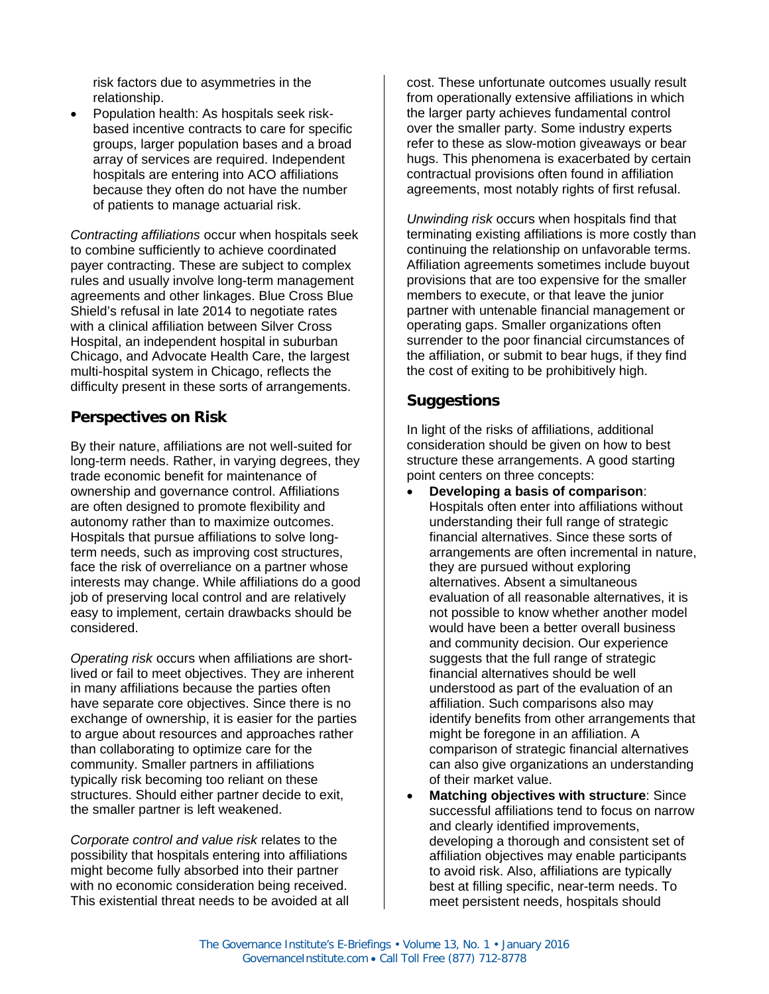risk factors due to asymmetries in the relationship.

• Population health: As hospitals seek riskbased incentive contracts to care for specific groups, larger population bases and a broad array of services are required. Independent hospitals are entering into ACO affiliations because they often do not have the number of patients to manage actuarial risk.

*Contracting affiliations* occur when hospitals seek to combine sufficiently to achieve coordinated payer contracting. These are subject to complex rules and usually involve long-term management agreements and other linkages. Blue Cross Blue Shield's refusal in late 2014 to negotiate rates with a clinical affiliation between Silver Cross Hospital, an independent hospital in suburban Chicago, and Advocate Health Care, the largest multi-hospital system in Chicago, reflects the difficulty present in these sorts of arrangements.

#### **Perspectives on Risk**

By their nature, affiliations are not well-suited for long-term needs. Rather, in varying degrees, they trade economic benefit for maintenance of ownership and governance control. Affiliations are often designed to promote flexibility and autonomy rather than to maximize outcomes. Hospitals that pursue affiliations to solve longterm needs, such as improving cost structures, face the risk of overreliance on a partner whose interests may change. While affiliations do a good job of preserving local control and are relatively easy to implement, certain drawbacks should be considered.

*Operating risk* occurs when affiliations are shortlived or fail to meet objectives. They are inherent in many affiliations because the parties often have separate core objectives. Since there is no exchange of ownership, it is easier for the parties to argue about resources and approaches rather than collaborating to optimize care for the community. Smaller partners in affiliations typically risk becoming too reliant on these structures. Should either partner decide to exit, the smaller partner is left weakened.

*Corporate control and value risk* relates to the possibility that hospitals entering into affiliations might become fully absorbed into their partner with no economic consideration being received. This existential threat needs to be avoided at all

cost. These unfortunate outcomes usually result from operationally extensive affiliations in which the larger party achieves fundamental control over the smaller party. Some industry experts refer to these as slow-motion giveaways or bear hugs. This phenomena is exacerbated by certain contractual provisions often found in affiliation agreements, most notably rights of first refusal.

*Unwinding risk* occurs when hospitals find that terminating existing affiliations is more costly than continuing the relationship on unfavorable terms. Affiliation agreements sometimes include buyout provisions that are too expensive for the smaller members to execute, or that leave the junior partner with untenable financial management or operating gaps. Smaller organizations often surrender to the poor financial circumstances of the affiliation, or submit to bear hugs, if they find the cost of exiting to be prohibitively high.

#### **Suggestions**

In light of the risks of affiliations, additional consideration should be given on how to best structure these arrangements. A good starting point centers on three concepts:

- **Developing a basis of comparison**: Hospitals often enter into affiliations without understanding their full range of strategic financial alternatives. Since these sorts of arrangements are often incremental in nature, they are pursued without exploring alternatives. Absent a simultaneous evaluation of all reasonable alternatives, it is not possible to know whether another model would have been a better overall business and community decision. Our experience suggests that the full range of strategic financial alternatives should be well understood as part of the evaluation of an affiliation. Such comparisons also may identify benefits from other arrangements that might be foregone in an affiliation. A comparison of strategic financial alternatives can also give organizations an understanding of their market value.
- **Matching objectives with structure: Since** successful affiliations tend to focus on narrow and clearly identified improvements, developing a thorough and consistent set of affiliation objectives may enable participants to avoid risk. Also, affiliations are typically best at filling specific, near-term needs. To meet persistent needs, hospitals should